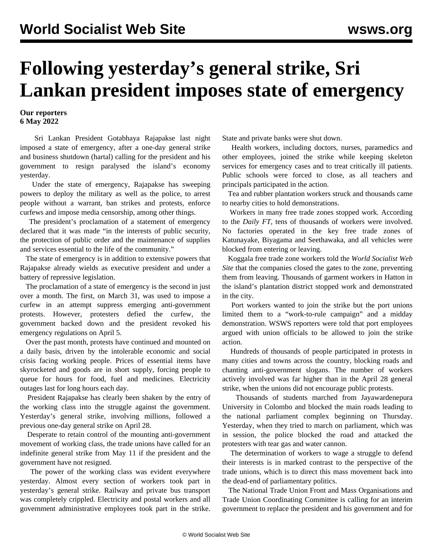## **Following yesterday's general strike, Sri Lankan president imposes state of emergency**

## **Our reporters 6 May 2022**

 Sri Lankan President Gotabhaya Rajapakse last night imposed a state of emergency, after a one-day general strike and business shutdown (hartal) calling for the president and his government to resign paralysed the island's economy yesterday.

 Under the state of emergency, Rajapakse has sweeping powers to deploy the military as well as the police, to arrest people without a warrant, ban strikes and protests, enforce curfews and impose media censorship, among other things.

 The president's proclamation of a statement of emergency declared that it was made "in the interests of public security, the protection of public order and the maintenance of supplies and services essential to the life of the community."

 The state of emergency is in addition to extensive powers that Rajapakse already wields as executive president and under a battery of repressive legislation.

 The proclamation of a state of emergency is the second in just over a month. The first, on March 31, was used to impose a curfew in an attempt suppress emerging anti-government protests. However, protesters defied the curfew, the government backed down and the president revoked his emergency regulations on April 5.

 Over the past month, protests have continued and mounted on a daily basis, driven by the intolerable economic and social crisis facing working people. Prices of essential items have skyrocketed and goods are in short supply, forcing people to queue for hours for food, fuel and medicines. Electricity outages last for long hours each day.

 President Rajapakse has clearly been shaken by the entry of the working class into the struggle against the government. Yesterday's general strike, involving millions, followed a previous one-day general strike on April 28.

 Desperate to retain control of the mounting anti-government movement of working class, the trade unions have called for an indefinite general strike from May 11 if the president and the government have not resigned.

 The power of the working class was evident everywhere yesterday. Almost every section of workers took part in yesterday's general strike. Railway and private bus transport was completely crippled. Electricity and postal workers and all government administrative employees took part in the strike. State and private banks were shut down.

 Health workers, including doctors, nurses, paramedics and other employees, joined the strike while keeping skeleton services for emergency cases and to treat critically ill patients. Public schools were forced to close, as all teachers and principals participated in the action.

 Tea and rubber plantation workers struck and thousands came to nearby cities to hold demonstrations.

 Workers in many free trade zones stopped work. According to the *Daily FT*, tens of thousands of workers were involved. No factories operated in the key free trade zones of Katunayake, Biyagama and Seethawaka, and all vehicles were blocked from entering or leaving.

 Koggala free trade zone workers told the *World Socialist Web Site* that the companies closed the gates to the zone, preventing them from leaving. Thousands of garment workers in Hatton in the island's plantation district stopped work and demonstrated in the city.

 Port workers wanted to join the strike but the port unions limited them to a "work-to-rule campaign" and a midday demonstration. WSWS reporters were told that port employees argued with union officials to be allowed to join the strike action.

 Hundreds of thousands of people participated in protests in many cities and towns across the country, blocking roads and chanting anti-government slogans. The number of workers actively involved was far higher than in the April 28 general strike, when the unions did not encourage public protests.

 Thousands of students marched from Jayawardenepura University in Colombo and blocked the main roads leading to the national parliament complex beginning on Thursday. Yesterday, when they tried to march on parliament, which was in session, the police blocked the road and attacked the protesters with tear gas and water cannon.

 The determination of workers to wage a struggle to defend their interests is in marked contrast to the perspective of the trade unions, which is to direct this mass movement back into the dead-end of parliamentary politics.

 The National Trade Union Front and Mass Organisations and Trade Union Coordinating Committee is calling for an interim government to replace the president and his government and for